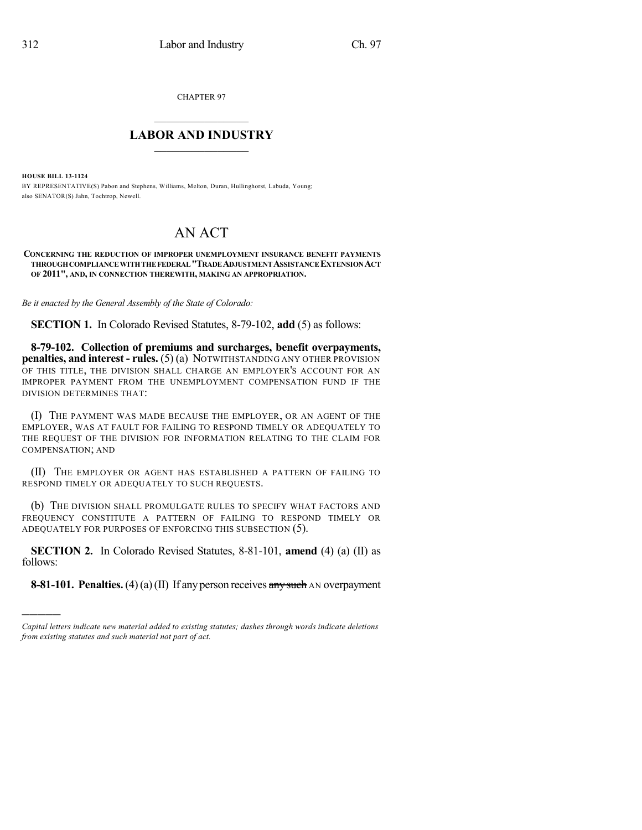CHAPTER 97

## $\overline{\phantom{a}}$  . The set of the set of the set of the set of the set of the set of the set of the set of the set of the set of the set of the set of the set of the set of the set of the set of the set of the set of the set o **LABOR AND INDUSTRY**  $\frac{1}{\sqrt{2}}$  ,  $\frac{1}{\sqrt{2}}$  ,  $\frac{1}{\sqrt{2}}$  ,  $\frac{1}{\sqrt{2}}$  ,  $\frac{1}{\sqrt{2}}$  ,  $\frac{1}{\sqrt{2}}$

**HOUSE BILL 13-1124**

)))))

BY REPRESENTATIVE(S) Pabon and Stephens, Williams, Melton, Duran, Hullinghorst, Labuda, Young; also SENATOR(S) Jahn, Tochtrop, Newell.

## AN ACT

**CONCERNING THE REDUCTION OF IMPROPER UNEMPLOYMENT INSURANCE BENEFIT PAYMENTS THROUGHCOMPLIANCE WITHTHE FEDERAL"TRADEADJUSTMENTASSISTANCE EXTENSIONACT OF 2011", AND, IN CONNECTION THEREWITH, MAKING AN APPROPRIATION.**

*Be it enacted by the General Assembly of the State of Colorado:*

**SECTION 1.** In Colorado Revised Statutes, 8-79-102, **add** (5) as follows:

**8-79-102. Collection of premiums and surcharges, benefit overpayments, penalties, and interest - rules.** (5) (a) NOTWITHSTANDING ANY OTHER PROVISION OF THIS TITLE, THE DIVISION SHALL CHARGE AN EMPLOYER'S ACCOUNT FOR AN IMPROPER PAYMENT FROM THE UNEMPLOYMENT COMPENSATION FUND IF THE DIVISION DETERMINES THAT:

(I) THE PAYMENT WAS MADE BECAUSE THE EMPLOYER, OR AN AGENT OF THE EMPLOYER, WAS AT FAULT FOR FAILING TO RESPOND TIMELY OR ADEQUATELY TO THE REQUEST OF THE DIVISION FOR INFORMATION RELATING TO THE CLAIM FOR COMPENSATION; AND

(II) THE EMPLOYER OR AGENT HAS ESTABLISHED A PATTERN OF FAILING TO RESPOND TIMELY OR ADEQUATELY TO SUCH REQUESTS.

(b) THE DIVISION SHALL PROMULGATE RULES TO SPECIFY WHAT FACTORS AND FREQUENCY CONSTITUTE A PATTERN OF FAILING TO RESPOND TIMELY OR ADEQUATELY FOR PURPOSES OF ENFORCING THIS SUBSECTION (5).

**SECTION 2.** In Colorado Revised Statutes, 8-81-101, **amend** (4) (a) (II) as follows:

**8-81-101. Penalties.** (4)(a)(II) If any person receives any such AN overpayment

*Capital letters indicate new material added to existing statutes; dashes through words indicate deletions from existing statutes and such material not part of act.*